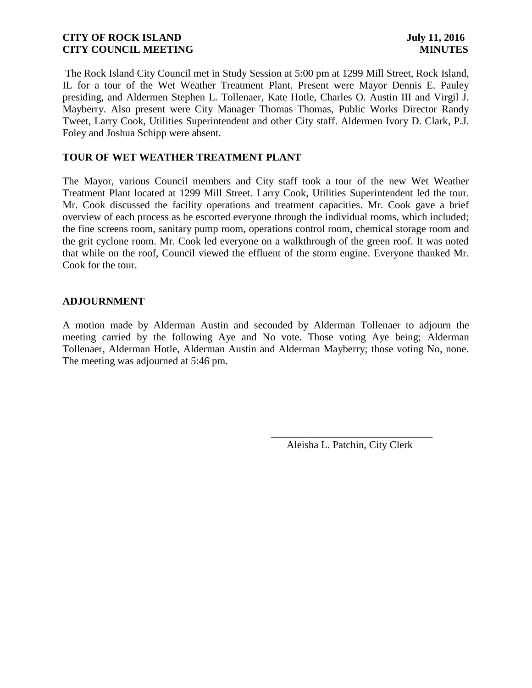The Rock Island City Council met in Study Session at 5:00 pm at 1299 Mill Street, Rock Island, IL for a tour of the Wet Weather Treatment Plant. Present were Mayor Dennis E. Pauley presiding, and Aldermen Stephen L. Tollenaer, Kate Hotle, Charles O. Austin III and Virgil J. Mayberry. Also present were City Manager Thomas Thomas, Public Works Director Randy Tweet, Larry Cook, Utilities Superintendent and other City staff. Aldermen Ivory D. Clark, P.J. Foley and Joshua Schipp were absent.

## **TOUR OF WET WEATHER TREATMENT PLANT**

The Mayor, various Council members and City staff took a tour of the new Wet Weather Treatment Plant located at 1299 Mill Street. Larry Cook, Utilities Superintendent led the tour. Mr. Cook discussed the facility operations and treatment capacities. Mr. Cook gave a brief overview of each process as he escorted everyone through the individual rooms, which included; the fine screens room, sanitary pump room, operations control room, chemical storage room and the grit cyclone room. Mr. Cook led everyone on a walkthrough of the green roof. It was noted that while on the roof, Council viewed the effluent of the storm engine. Everyone thanked Mr. Cook for the tour.

### **ADJOURNMENT**

A motion made by Alderman Austin and seconded by Alderman Tollenaer to adjourn the meeting carried by the following Aye and No vote. Those voting Aye being; Alderman Tollenaer, Alderman Hotle, Alderman Austin and Alderman Mayberry; those voting No, none. The meeting was adjourned at 5:46 pm.

 $\overline{\phantom{a}}$  , and the contract of the contract of the contract of the contract of the contract of the contract of the contract of the contract of the contract of the contract of the contract of the contract of the contrac

Aleisha L. Patchin, City Clerk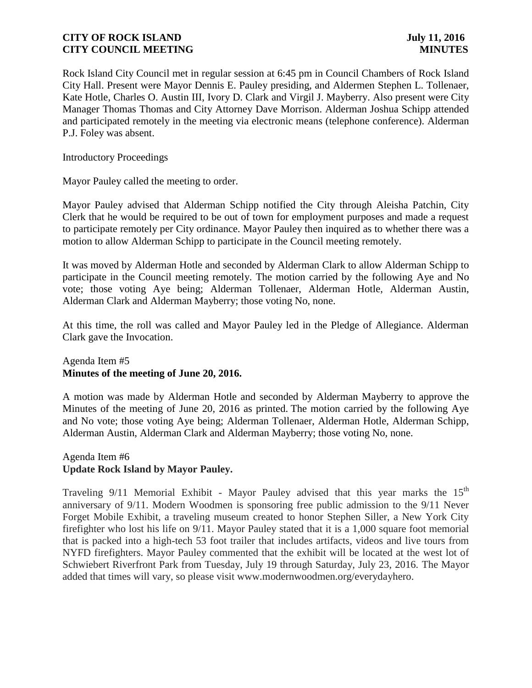Rock Island City Council met in regular session at 6:45 pm in Council Chambers of Rock Island City Hall. Present were Mayor Dennis E. Pauley presiding, and Aldermen Stephen L. Tollenaer, Kate Hotle, Charles O. Austin III, Ivory D. Clark and Virgil J. Mayberry. Also present were City Manager Thomas Thomas and City Attorney Dave Morrison. Alderman Joshua Schipp attended and participated remotely in the meeting via electronic means (telephone conference). Alderman P.J. Foley was absent.

Introductory Proceedings

Mayor Pauley called the meeting to order.

Mayor Pauley advised that Alderman Schipp notified the City through Aleisha Patchin, City Clerk that he would be required to be out of town for employment purposes and made a request to participate remotely per City ordinance. Mayor Pauley then inquired as to whether there was a motion to allow Alderman Schipp to participate in the Council meeting remotely.

It was moved by Alderman Hotle and seconded by Alderman Clark to allow Alderman Schipp to participate in the Council meeting remotely. The motion carried by the following Aye and No vote; those voting Aye being; Alderman Tollenaer, Alderman Hotle, Alderman Austin, Alderman Clark and Alderman Mayberry; those voting No, none.

At this time, the roll was called and Mayor Pauley led in the Pledge of Allegiance. Alderman Clark gave the Invocation.

# Agenda Item #5 **Minutes of the meeting of June 20, 2016.**

A motion was made by Alderman Hotle and seconded by Alderman Mayberry to approve the Minutes of the meeting of June 20, 2016 as printed. The motion carried by the following Aye and No vote; those voting Aye being; Alderman Tollenaer, Alderman Hotle, Alderman Schipp, Alderman Austin, Alderman Clark and Alderman Mayberry; those voting No, none.

## Agenda Item #6 **Update Rock Island by Mayor Pauley.**

Traveling  $9/11$  Memorial Exhibit - Mayor Pauley advised that this year marks the  $15<sup>th</sup>$ anniversary of 9/11. Modern Woodmen is sponsoring free public admission to the 9/11 Never Forget Mobile Exhibit, a traveling museum created to honor Stephen Siller, a New York City firefighter who lost his life on 9/11. Mayor Pauley stated that it is a 1,000 square foot memorial that is packed into a high-tech 53 foot trailer that includes artifacts, videos and live tours from NYFD firefighters. Mayor Pauley commented that the exhibit will be located at the west lot of Schwiebert Riverfront Park from Tuesday, July 19 through Saturday, July 23, 2016. The Mayor added that times will vary, so please visit www.modernwoodmen.org/everydayhero.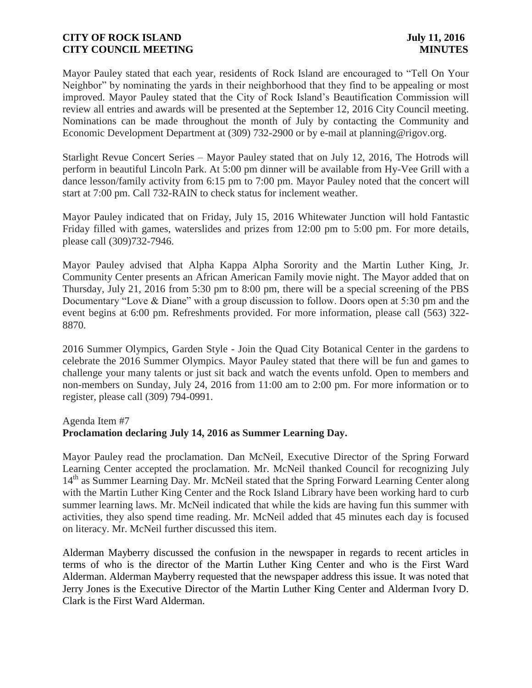Mayor Pauley stated that each year, residents of Rock Island are encouraged to "Tell On Your Neighbor" by nominating the yards in their neighborhood that they find to be appealing or most improved. Mayor Pauley stated that the City of Rock Island's Beautification Commission will review all entries and awards will be presented at the September 12, 2016 City Council meeting. Nominations can be made throughout the month of July by contacting the Community and Economic Development Department at (309) 732-2900 or by e-mail at planning@rigov.org.

Starlight Revue Concert Series – Mayor Pauley stated that on July 12, 2016, The Hotrods will perform in beautiful Lincoln Park. At 5:00 pm dinner will be available from Hy-Vee Grill with a dance lesson/family activity from 6:15 pm to 7:00 pm. Mayor Pauley noted that the concert will start at 7:00 pm. Call 732-RAIN to check status for inclement weather.

Mayor Pauley indicated that on Friday, July 15, 2016 Whitewater Junction will hold Fantastic Friday filled with games, waterslides and prizes from 12:00 pm to 5:00 pm. For more details, please call (309)732-7946.

Mayor Pauley advised that Alpha Kappa Alpha Sorority and the Martin Luther King, Jr. Community Center presents an African American Family movie night. The Mayor added that on Thursday, July 21, 2016 from 5:30 pm to 8:00 pm, there will be a special screening of the PBS Documentary "Love & Diane" with a group discussion to follow. Doors open at 5:30 pm and the event begins at 6:00 pm. Refreshments provided. For more information, please call (563) 322- 8870.

2016 Summer Olympics, Garden Style - Join the Quad City Botanical Center in the gardens to celebrate the 2016 Summer Olympics. Mayor Pauley stated that there will be fun and games to challenge your many talents or just sit back and watch the events unfold. Open to members and non-members on Sunday, July 24, 2016 from 11:00 am to 2:00 pm. For more information or to register, please call (309) 794-0991.

#### Agenda Item #7

### **Proclamation declaring July 14, 2016 as Summer Learning Day.**

Mayor Pauley read the proclamation. Dan McNeil, Executive Director of the Spring Forward Learning Center accepted the proclamation. Mr. McNeil thanked Council for recognizing July 14<sup>th</sup> as Summer Learning Day. Mr. McNeil stated that the Spring Forward Learning Center along with the Martin Luther King Center and the Rock Island Library have been working hard to curb summer learning laws. Mr. McNeil indicated that while the kids are having fun this summer with activities, they also spend time reading. Mr. McNeil added that 45 minutes each day is focused on literacy. Mr. McNeil further discussed this item.

Alderman Mayberry discussed the confusion in the newspaper in regards to recent articles in terms of who is the director of the Martin Luther King Center and who is the First Ward Alderman. Alderman Mayberry requested that the newspaper address this issue. It was noted that Jerry Jones is the Executive Director of the Martin Luther King Center and Alderman Ivory D. Clark is the First Ward Alderman.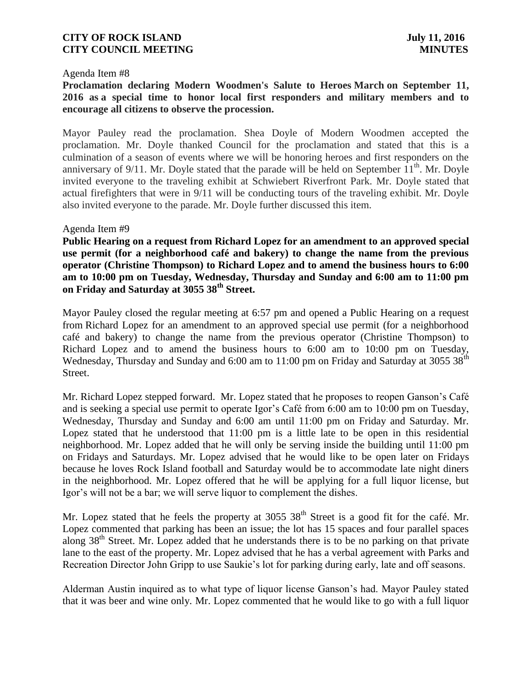#### Agenda Item #8

**Proclamation declaring Modern Woodmen's Salute to Heroes March on September 11, 2016 as a special time to honor local first responders and military members and to encourage all citizens to observe the procession.** 

Mayor Pauley read the proclamation. Shea Doyle of Modern Woodmen accepted the proclamation. Mr. Doyle thanked Council for the proclamation and stated that this is a culmination of a season of events where we will be honoring heroes and first responders on the anniversary of  $9/11$ . Mr. Doyle stated that the parade will be held on September  $11<sup>th</sup>$ . Mr. Doyle invited everyone to the traveling exhibit at Schwiebert Riverfront Park. Mr. Doyle stated that actual firefighters that were in 9/11 will be conducting tours of the traveling exhibit. Mr. Doyle also invited everyone to the parade. Mr. Doyle further discussed this item.

### Agenda Item #9

**Public Hearing on a request from Richard Lopez for an amendment to an approved special use permit (for a neighborhood café and bakery) to change the name from the previous operator (Christine Thompson) to Richard Lopez and to amend the business hours to 6:00 am to 10:00 pm on Tuesday, Wednesday, Thursday and Sunday and 6:00 am to 11:00 pm on Friday and Saturday at 3055 38th Street.**

Mayor Pauley closed the regular meeting at 6:57 pm and opened a Public Hearing on a request from Richard Lopez for an amendment to an approved special use permit (for a neighborhood café and bakery) to change the name from the previous operator (Christine Thompson) to Richard Lopez and to amend the business hours to 6:00 am to 10:00 pm on Tuesday, Wednesday, Thursday and Sunday and 6:00 am to 11:00 pm on Friday and Saturday at 3055 38<sup>th</sup> Street.

Mr. Richard Lopez stepped forward. Mr. Lopez stated that he proposes to reopen Ganson's Café and is seeking a special use permit to operate Igor's Café from 6:00 am to 10:00 pm on Tuesday, Wednesday, Thursday and Sunday and 6:00 am until 11:00 pm on Friday and Saturday. Mr. Lopez stated that he understood that 11:00 pm is a little late to be open in this residential neighborhood. Mr. Lopez added that he will only be serving inside the building until 11:00 pm on Fridays and Saturdays. Mr. Lopez advised that he would like to be open later on Fridays because he loves Rock Island football and Saturday would be to accommodate late night diners in the neighborhood. Mr. Lopez offered that he will be applying for a full liquor license, but Igor's will not be a bar; we will serve liquor to complement the dishes.

Mr. Lopez stated that he feels the property at  $3055$   $38<sup>th</sup>$  Street is a good fit for the café. Mr. Lopez commented that parking has been an issue; the lot has 15 spaces and four parallel spaces along 38<sup>th</sup> Street. Mr. Lopez added that he understands there is to be no parking on that private lane to the east of the property. Mr. Lopez advised that he has a verbal agreement with Parks and Recreation Director John Gripp to use Saukie's lot for parking during early, late and off seasons.

Alderman Austin inquired as to what type of liquor license Ganson's had. Mayor Pauley stated that it was beer and wine only. Mr. Lopez commented that he would like to go with a full liquor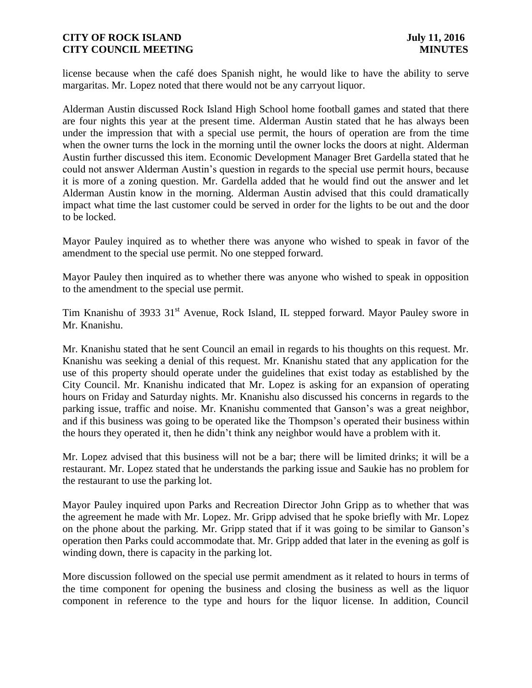license because when the café does Spanish night, he would like to have the ability to serve margaritas. Mr. Lopez noted that there would not be any carryout liquor.

Alderman Austin discussed Rock Island High School home football games and stated that there are four nights this year at the present time. Alderman Austin stated that he has always been under the impression that with a special use permit, the hours of operation are from the time when the owner turns the lock in the morning until the owner locks the doors at night. Alderman Austin further discussed this item. Economic Development Manager Bret Gardella stated that he could not answer Alderman Austin's question in regards to the special use permit hours, because it is more of a zoning question. Mr. Gardella added that he would find out the answer and let Alderman Austin know in the morning. Alderman Austin advised that this could dramatically impact what time the last customer could be served in order for the lights to be out and the door to be locked.

Mayor Pauley inquired as to whether there was anyone who wished to speak in favor of the amendment to the special use permit. No one stepped forward.

Mayor Pauley then inquired as to whether there was anyone who wished to speak in opposition to the amendment to the special use permit.

Tim Knanishu of 3933 31<sup>st</sup> Avenue, Rock Island, IL stepped forward. Mayor Pauley swore in Mr. Knanishu.

Mr. Knanishu stated that he sent Council an email in regards to his thoughts on this request. Mr. Knanishu was seeking a denial of this request. Mr. Knanishu stated that any application for the use of this property should operate under the guidelines that exist today as established by the City Council. Mr. Knanishu indicated that Mr. Lopez is asking for an expansion of operating hours on Friday and Saturday nights. Mr. Knanishu also discussed his concerns in regards to the parking issue, traffic and noise. Mr. Knanishu commented that Ganson's was a great neighbor, and if this business was going to be operated like the Thompson's operated their business within the hours they operated it, then he didn't think any neighbor would have a problem with it.

Mr. Lopez advised that this business will not be a bar; there will be limited drinks; it will be a restaurant. Mr. Lopez stated that he understands the parking issue and Saukie has no problem for the restaurant to use the parking lot.

Mayor Pauley inquired upon Parks and Recreation Director John Gripp as to whether that was the agreement he made with Mr. Lopez. Mr. Gripp advised that he spoke briefly with Mr. Lopez on the phone about the parking. Mr. Gripp stated that if it was going to be similar to Ganson's operation then Parks could accommodate that. Mr. Gripp added that later in the evening as golf is winding down, there is capacity in the parking lot.

More discussion followed on the special use permit amendment as it related to hours in terms of the time component for opening the business and closing the business as well as the liquor component in reference to the type and hours for the liquor license. In addition, Council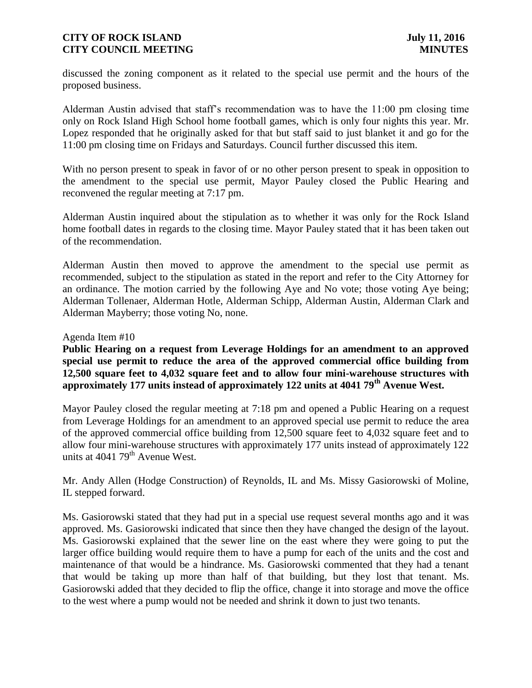discussed the zoning component as it related to the special use permit and the hours of the proposed business.

Alderman Austin advised that staff's recommendation was to have the 11:00 pm closing time only on Rock Island High School home football games, which is only four nights this year. Mr. Lopez responded that he originally asked for that but staff said to just blanket it and go for the 11:00 pm closing time on Fridays and Saturdays. Council further discussed this item.

With no person present to speak in favor of or no other person present to speak in opposition to the amendment to the special use permit, Mayor Pauley closed the Public Hearing and reconvened the regular meeting at 7:17 pm.

Alderman Austin inquired about the stipulation as to whether it was only for the Rock Island home football dates in regards to the closing time. Mayor Pauley stated that it has been taken out of the recommendation.

Alderman Austin then moved to approve the amendment to the special use permit as recommended, subject to the stipulation as stated in the report and refer to the City Attorney for an ordinance. The motion carried by the following Aye and No vote; those voting Aye being; Alderman Tollenaer, Alderman Hotle, Alderman Schipp, Alderman Austin, Alderman Clark and Alderman Mayberry; those voting No, none.

#### Agenda Item #10

**Public Hearing on a request from Leverage Holdings for an amendment to an approved special use permit to reduce the area of the approved commercial office building from 12,500 square feet to 4,032 square feet and to allow four mini-warehouse structures with approximately 177 units instead of approximately 122 units at 4041 79th Avenue West.**

Mayor Pauley closed the regular meeting at 7:18 pm and opened a Public Hearing on a request from Leverage Holdings for an amendment to an approved special use permit to reduce the area of the approved commercial office building from 12,500 square feet to 4,032 square feet and to allow four mini-warehouse structures with approximately 177 units instead of approximately 122 units at  $4041$   $79<sup>th</sup>$  Avenue West.

Mr. Andy Allen (Hodge Construction) of Reynolds, IL and Ms. Missy Gasiorowski of Moline, IL stepped forward.

Ms. Gasiorowski stated that they had put in a special use request several months ago and it was approved. Ms. Gasiorowski indicated that since then they have changed the design of the layout. Ms. Gasiorowski explained that the sewer line on the east where they were going to put the larger office building would require them to have a pump for each of the units and the cost and maintenance of that would be a hindrance. Ms. Gasiorowski commented that they had a tenant that would be taking up more than half of that building, but they lost that tenant. Ms. Gasiorowski added that they decided to flip the office, change it into storage and move the office to the west where a pump would not be needed and shrink it down to just two tenants.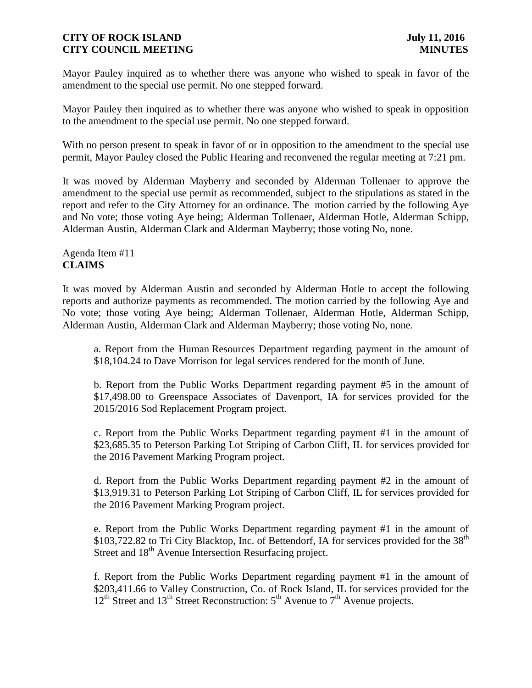Mayor Pauley inquired as to whether there was anyone who wished to speak in favor of the amendment to the special use permit. No one stepped forward.

Mayor Pauley then inquired as to whether there was anyone who wished to speak in opposition to the amendment to the special use permit. No one stepped forward.

With no person present to speak in favor of or in opposition to the amendment to the special use permit, Mayor Pauley closed the Public Hearing and reconvened the regular meeting at 7:21 pm.

It was moved by Alderman Mayberry and seconded by Alderman Tollenaer to approve the amendment to the special use permit as recommended, subject to the stipulations as stated in the report and refer to the City Attorney for an ordinance. The motion carried by the following Aye and No vote; those voting Aye being; Alderman Tollenaer, Alderman Hotle, Alderman Schipp, Alderman Austin, Alderman Clark and Alderman Mayberry; those voting No, none.

# Agenda Item #11 **CLAIMS**

It was moved by Alderman Austin and seconded by Alderman Hotle to accept the following reports and authorize payments as recommended. The motion carried by the following Aye and No vote; those voting Aye being; Alderman Tollenaer, Alderman Hotle, Alderman Schipp, Alderman Austin, Alderman Clark and Alderman Mayberry; those voting No, none.

a. Report from the Human Resources Department regarding payment in the amount of \$18,104.24 to Dave Morrison for legal services rendered for the month of June.

b. Report from the Public Works Department regarding payment #5 in the amount of \$17,498.00 to Greenspace Associates of Davenport, IA for services provided for the 2015/2016 Sod Replacement Program project.

c. Report from the Public Works Department regarding payment #1 in the amount of \$23,685.35 to Peterson Parking Lot Striping of Carbon Cliff, IL for services provided for the 2016 Pavement Marking Program project.

d. Report from the Public Works Department regarding payment #2 in the amount of \$13,919.31 to Peterson Parking Lot Striping of Carbon Cliff, IL for services provided for the 2016 Pavement Marking Program project.

e. Report from the Public Works Department regarding payment #1 in the amount of \$103,722.82 to Tri City Blacktop, Inc. of Bettendorf, IA for services provided for the  $38<sup>th</sup>$ Street and 18<sup>th</sup> Avenue Intersection Resurfacing project.

f. Report from the Public Works Department regarding payment #1 in the amount of \$203,411.66 to Valley Construction, Co. of Rock Island, IL for services provided for the  $12<sup>th</sup>$  Street and  $13<sup>th</sup>$  Street Reconstruction:  $5<sup>th</sup>$  Avenue to  $7<sup>th</sup>$  Avenue projects.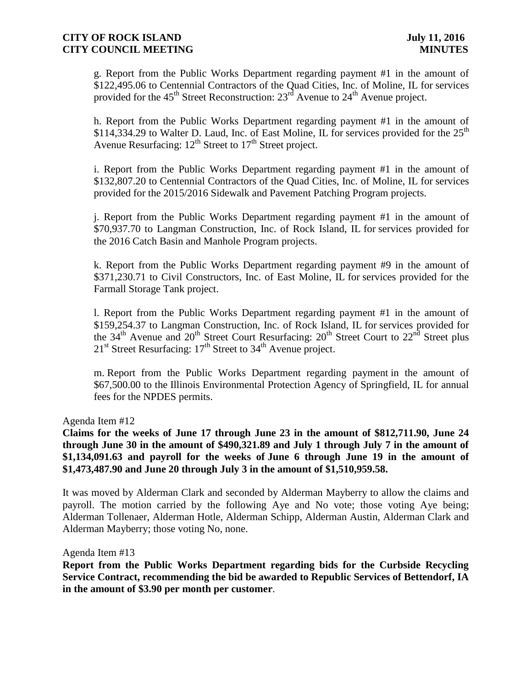g. Report from the Public Works Department regarding payment #1 in the amount of \$122,495.06 to Centennial Contractors of the Quad Cities, Inc. of Moline, IL for services provided for the 45<sup>th</sup> Street Reconstruction:  $23^{rd}$  Avenue to  $24^{th}$  Avenue project.

h. Report from the Public Works Department regarding payment #1 in the amount of \$114,334.29 to Walter D. Laud, Inc. of East Moline, IL for services provided for the 25<sup>th</sup> Avenue Resurfacing:  $12^{th}$  Street to  $17^{th}$  Street project.

i. Report from the Public Works Department regarding payment #1 in the amount of \$132,807.20 to Centennial Contractors of the Quad Cities, Inc. of Moline, IL for services provided for the 2015/2016 Sidewalk and Pavement Patching Program projects.

j. Report from the Public Works Department regarding payment #1 in the amount of \$70,937.70 to Langman Construction, Inc. of Rock Island, IL for services provided for the 2016 Catch Basin and Manhole Program projects.

k. Report from the Public Works Department regarding payment #9 in the amount of \$371,230.71 to Civil Constructors, Inc. of East Moline, IL for services provided for the Farmall Storage Tank project.

l. Report from the Public Works Department regarding payment #1 in the amount of \$159,254.37 to Langman Construction, Inc. of Rock Island, IL for services provided for the  $34<sup>th</sup>$  Avenue and  $20<sup>th</sup>$  Street Court Resurfacing:  $20<sup>th</sup>$  Street Court to  $22<sup>nd</sup>$  Street plus  $21<sup>st</sup>$  Street Resurfacing:  $17<sup>th</sup>$  Street to  $34<sup>th</sup>$  Avenue project.

m. Report from the Public Works Department regarding payment in the amount of \$67,500.00 to the Illinois Environmental Protection Agency of Springfield, IL for annual fees for the NPDES permits.

Agenda Item #12

**Claims for the weeks of June 17 through June 23 in the amount of \$812,711.90, June 24 through June 30 in the amount of \$490,321.89 and July 1 through July 7 in the amount of \$1,134,091.63 and payroll for the weeks of June 6 through June 19 in the amount of \$1,473,487.90 and June 20 through July 3 in the amount of \$1,510,959.58.**

It was moved by Alderman Clark and seconded by Alderman Mayberry to allow the claims and payroll. The motion carried by the following Aye and No vote; those voting Aye being; Alderman Tollenaer, Alderman Hotle, Alderman Schipp, Alderman Austin, Alderman Clark and Alderman Mayberry; those voting No, none.

Agenda Item #13

**Report from the Public Works Department regarding bids for the Curbside Recycling Service Contract, recommending the bid be awarded to Republic Services of Bettendorf, IA in the amount of \$3.90 per month per customer**.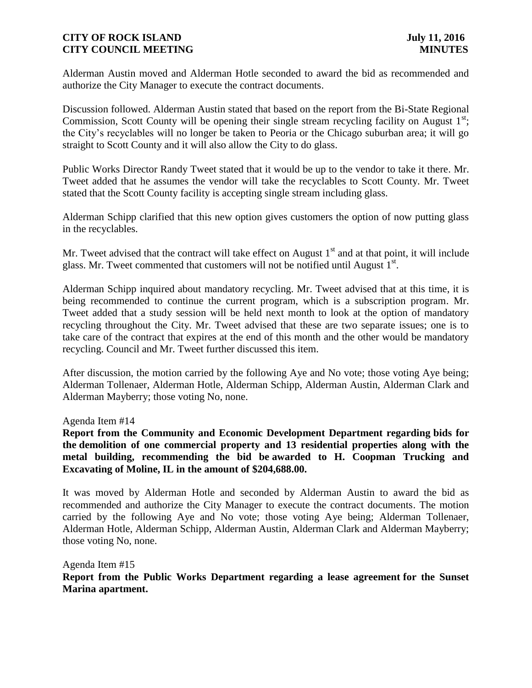Alderman Austin moved and Alderman Hotle seconded to award the bid as recommended and authorize the City Manager to execute the contract documents.

Discussion followed. Alderman Austin stated that based on the report from the Bi-State Regional Commission, Scott County will be opening their single stream recycling facility on August  $1<sup>st</sup>$ ; the City's recyclables will no longer be taken to Peoria or the Chicago suburban area; it will go straight to Scott County and it will also allow the City to do glass.

Public Works Director Randy Tweet stated that it would be up to the vendor to take it there. Mr. Tweet added that he assumes the vendor will take the recyclables to Scott County. Mr. Tweet stated that the Scott County facility is accepting single stream including glass.

Alderman Schipp clarified that this new option gives customers the option of now putting glass in the recyclables.

Mr. Tweet advised that the contract will take effect on August  $1<sup>st</sup>$  and at that point, it will include glass. Mr. Tweet commented that customers will not be notified until August  $1<sup>st</sup>$ .

Alderman Schipp inquired about mandatory recycling. Mr. Tweet advised that at this time, it is being recommended to continue the current program, which is a subscription program. Mr. Tweet added that a study session will be held next month to look at the option of mandatory recycling throughout the City. Mr. Tweet advised that these are two separate issues; one is to take care of the contract that expires at the end of this month and the other would be mandatory recycling. Council and Mr. Tweet further discussed this item.

After discussion, the motion carried by the following Aye and No vote; those voting Aye being; Alderman Tollenaer, Alderman Hotle, Alderman Schipp, Alderman Austin, Alderman Clark and Alderman Mayberry; those voting No, none.

Agenda Item #14

**Report from the Community and Economic Development Department regarding bids for the demolition of one commercial property and 13 residential properties along with the metal building, recommending the bid be awarded to H. Coopman Trucking and Excavating of Moline, IL in the amount of \$204,688.00.**

It was moved by Alderman Hotle and seconded by Alderman Austin to award the bid as recommended and authorize the City Manager to execute the contract documents. The motion carried by the following Aye and No vote; those voting Aye being; Alderman Tollenaer, Alderman Hotle, Alderman Schipp, Alderman Austin, Alderman Clark and Alderman Mayberry; those voting No, none.

Agenda Item #15 **Report from the Public Works Department regarding a lease agreement for the Sunset Marina apartment.**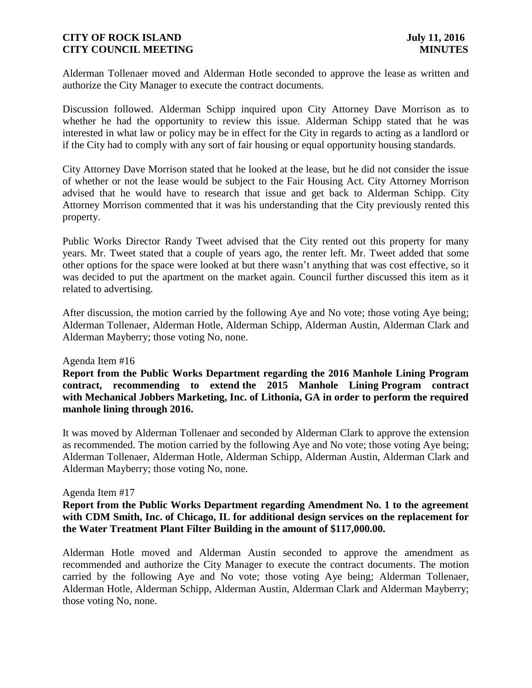Alderman Tollenaer moved and Alderman Hotle seconded to approve the lease as written and authorize the City Manager to execute the contract documents.

Discussion followed. Alderman Schipp inquired upon City Attorney Dave Morrison as to whether he had the opportunity to review this issue. Alderman Schipp stated that he was interested in what law or policy may be in effect for the City in regards to acting as a landlord or if the City had to comply with any sort of fair housing or equal opportunity housing standards.

City Attorney Dave Morrison stated that he looked at the lease, but he did not consider the issue of whether or not the lease would be subject to the Fair Housing Act. City Attorney Morrison advised that he would have to research that issue and get back to Alderman Schipp. City Attorney Morrison commented that it was his understanding that the City previously rented this property.

Public Works Director Randy Tweet advised that the City rented out this property for many years. Mr. Tweet stated that a couple of years ago, the renter left. Mr. Tweet added that some other options for the space were looked at but there wasn't anything that was cost effective, so it was decided to put the apartment on the market again. Council further discussed this item as it related to advertising.

After discussion, the motion carried by the following Aye and No vote; those voting Aye being; Alderman Tollenaer, Alderman Hotle, Alderman Schipp, Alderman Austin, Alderman Clark and Alderman Mayberry; those voting No, none.

Agenda Item #16

**Report from the Public Works Department regarding the 2016 Manhole Lining Program contract, recommending to extend the 2015 Manhole Lining Program contract with Mechanical Jobbers Marketing, Inc. of Lithonia, GA in order to perform the required manhole lining through 2016.**

It was moved by Alderman Tollenaer and seconded by Alderman Clark to approve the extension as recommended. The motion carried by the following Aye and No vote; those voting Aye being; Alderman Tollenaer, Alderman Hotle, Alderman Schipp, Alderman Austin, Alderman Clark and Alderman Mayberry; those voting No, none.

#### Agenda Item #17

## **Report from the Public Works Department regarding Amendment No. 1 to the agreement with CDM Smith, Inc. of Chicago, IL for additional design services on the replacement for the Water Treatment Plant Filter Building in the amount of \$117,000.00.**

Alderman Hotle moved and Alderman Austin seconded to approve the amendment as recommended and authorize the City Manager to execute the contract documents. The motion carried by the following Aye and No vote; those voting Aye being; Alderman Tollenaer, Alderman Hotle, Alderman Schipp, Alderman Austin, Alderman Clark and Alderman Mayberry; those voting No, none.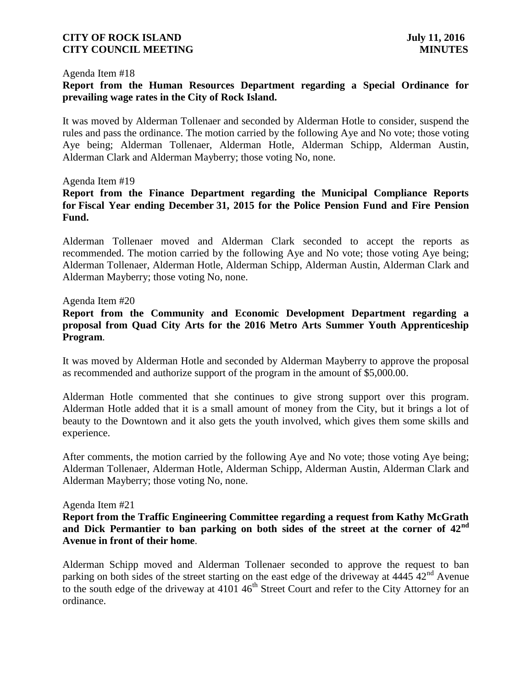#### Agenda Item #18

## **Report from the Human Resources Department regarding a Special Ordinance for prevailing wage rates in the City of Rock Island.**

It was moved by Alderman Tollenaer and seconded by Alderman Hotle to consider, suspend the rules and pass the ordinance. The motion carried by the following Aye and No vote; those voting Aye being; Alderman Tollenaer, Alderman Hotle, Alderman Schipp, Alderman Austin, Alderman Clark and Alderman Mayberry; those voting No, none.

#### Agenda Item #19

# **Report from the Finance Department regarding the Municipal Compliance Reports for Fiscal Year ending December 31, 2015 for the Police Pension Fund and Fire Pension Fund.**

Alderman Tollenaer moved and Alderman Clark seconded to accept the reports as recommended. The motion carried by the following Aye and No vote; those voting Aye being; Alderman Tollenaer, Alderman Hotle, Alderman Schipp, Alderman Austin, Alderman Clark and Alderman Mayberry; those voting No, none.

#### Agenda Item #20

## **Report from the Community and Economic Development Department regarding a proposal from Quad City Arts for the 2016 Metro Arts Summer Youth Apprenticeship Program**.

It was moved by Alderman Hotle and seconded by Alderman Mayberry to approve the proposal as recommended and authorize support of the program in the amount of \$5,000.00.

Alderman Hotle commented that she continues to give strong support over this program. Alderman Hotle added that it is a small amount of money from the City, but it brings a lot of beauty to the Downtown and it also gets the youth involved, which gives them some skills and experience.

After comments, the motion carried by the following Aye and No vote; those voting Aye being; Alderman Tollenaer, Alderman Hotle, Alderman Schipp, Alderman Austin, Alderman Clark and Alderman Mayberry; those voting No, none.

#### Agenda Item #21

**Report from the Traffic Engineering Committee regarding a request from Kathy McGrath and Dick Permantier to ban parking on both sides of the street at the corner of 42nd Avenue in front of their home**.

Alderman Schipp moved and Alderman Tollenaer seconded to approve the request to ban parking on both sides of the street starting on the east edge of the driveway at  $4445 \frac{\text{kg}}{42}$ <sup>nd</sup> Avenue to the south edge of the driveway at  $4101 \, 46$ <sup>th</sup> Street Court and refer to the City Attorney for an ordinance.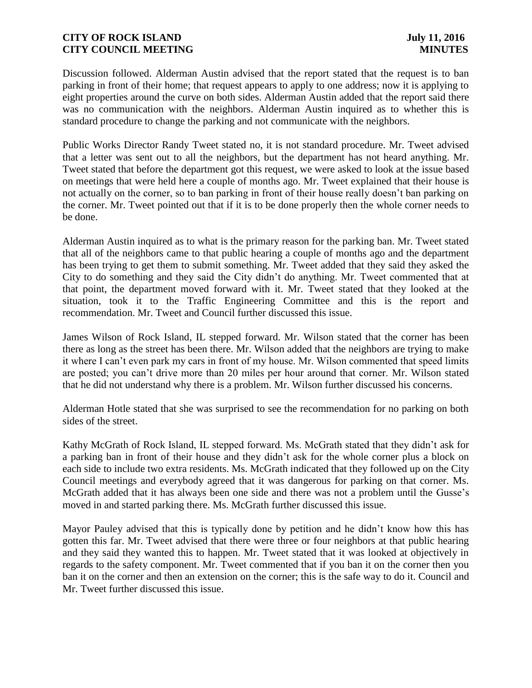Discussion followed. Alderman Austin advised that the report stated that the request is to ban parking in front of their home; that request appears to apply to one address; now it is applying to eight properties around the curve on both sides. Alderman Austin added that the report said there was no communication with the neighbors. Alderman Austin inquired as to whether this is standard procedure to change the parking and not communicate with the neighbors.

Public Works Director Randy Tweet stated no, it is not standard procedure. Mr. Tweet advised that a letter was sent out to all the neighbors, but the department has not heard anything. Mr. Tweet stated that before the department got this request, we were asked to look at the issue based on meetings that were held here a couple of months ago. Mr. Tweet explained that their house is not actually on the corner, so to ban parking in front of their house really doesn't ban parking on the corner. Mr. Tweet pointed out that if it is to be done properly then the whole corner needs to be done.

Alderman Austin inquired as to what is the primary reason for the parking ban. Mr. Tweet stated that all of the neighbors came to that public hearing a couple of months ago and the department has been trying to get them to submit something. Mr. Tweet added that they said they asked the City to do something and they said the City didn't do anything. Mr. Tweet commented that at that point, the department moved forward with it. Mr. Tweet stated that they looked at the situation, took it to the Traffic Engineering Committee and this is the report and recommendation. Mr. Tweet and Council further discussed this issue.

James Wilson of Rock Island, IL stepped forward. Mr. Wilson stated that the corner has been there as long as the street has been there. Mr. Wilson added that the neighbors are trying to make it where I can't even park my cars in front of my house. Mr. Wilson commented that speed limits are posted; you can't drive more than 20 miles per hour around that corner. Mr. Wilson stated that he did not understand why there is a problem. Mr. Wilson further discussed his concerns.

Alderman Hotle stated that she was surprised to see the recommendation for no parking on both sides of the street.

Kathy McGrath of Rock Island, IL stepped forward. Ms. McGrath stated that they didn't ask for a parking ban in front of their house and they didn't ask for the whole corner plus a block on each side to include two extra residents. Ms. McGrath indicated that they followed up on the City Council meetings and everybody agreed that it was dangerous for parking on that corner. Ms. McGrath added that it has always been one side and there was not a problem until the Gusse's moved in and started parking there. Ms. McGrath further discussed this issue.

Mayor Pauley advised that this is typically done by petition and he didn't know how this has gotten this far. Mr. Tweet advised that there were three or four neighbors at that public hearing and they said they wanted this to happen. Mr. Tweet stated that it was looked at objectively in regards to the safety component. Mr. Tweet commented that if you ban it on the corner then you ban it on the corner and then an extension on the corner; this is the safe way to do it. Council and Mr. Tweet further discussed this issue.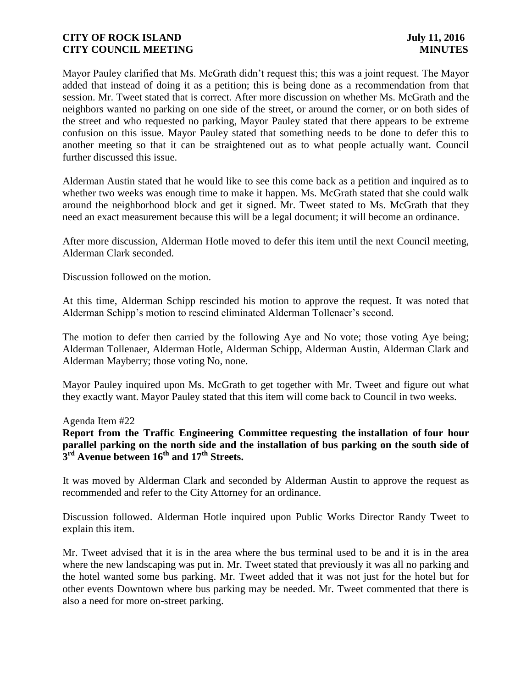Mayor Pauley clarified that Ms. McGrath didn't request this; this was a joint request. The Mayor added that instead of doing it as a petition; this is being done as a recommendation from that session. Mr. Tweet stated that is correct. After more discussion on whether Ms. McGrath and the neighbors wanted no parking on one side of the street, or around the corner, or on both sides of the street and who requested no parking, Mayor Pauley stated that there appears to be extreme confusion on this issue. Mayor Pauley stated that something needs to be done to defer this to another meeting so that it can be straightened out as to what people actually want. Council further discussed this issue.

Alderman Austin stated that he would like to see this come back as a petition and inquired as to whether two weeks was enough time to make it happen. Ms. McGrath stated that she could walk around the neighborhood block and get it signed. Mr. Tweet stated to Ms. McGrath that they need an exact measurement because this will be a legal document; it will become an ordinance.

After more discussion, Alderman Hotle moved to defer this item until the next Council meeting, Alderman Clark seconded.

Discussion followed on the motion.

At this time, Alderman Schipp rescinded his motion to approve the request. It was noted that Alderman Schipp's motion to rescind eliminated Alderman Tollenaer's second.

The motion to defer then carried by the following Aye and No vote; those voting Aye being; Alderman Tollenaer, Alderman Hotle, Alderman Schipp, Alderman Austin, Alderman Clark and Alderman Mayberry; those voting No, none.

Mayor Pauley inquired upon Ms. McGrath to get together with Mr. Tweet and figure out what they exactly want. Mayor Pauley stated that this item will come back to Council in two weeks.

Agenda Item #22

**Report from the Traffic Engineering Committee requesting the installation of four hour**  parallel parking on the north side and the installation of bus parking on the south side of **3 rd Avenue between 16th and 17th Streets.**

It was moved by Alderman Clark and seconded by Alderman Austin to approve the request as recommended and refer to the City Attorney for an ordinance.

Discussion followed. Alderman Hotle inquired upon Public Works Director Randy Tweet to explain this item.

Mr. Tweet advised that it is in the area where the bus terminal used to be and it is in the area where the new landscaping was put in. Mr. Tweet stated that previously it was all no parking and the hotel wanted some bus parking. Mr. Tweet added that it was not just for the hotel but for other events Downtown where bus parking may be needed. Mr. Tweet commented that there is also a need for more on-street parking.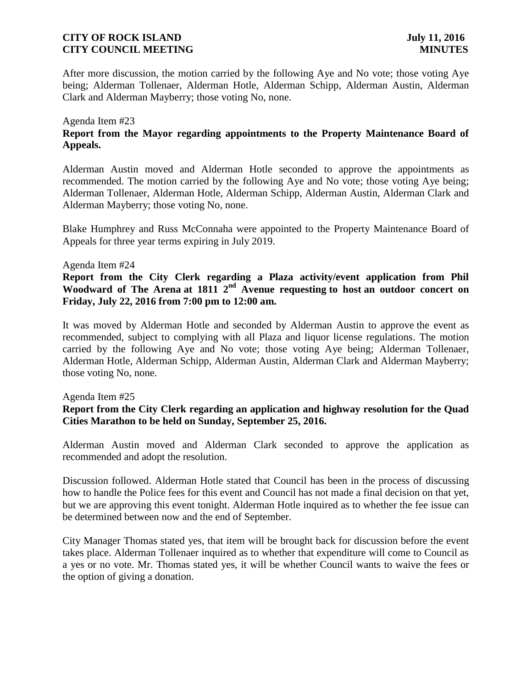After more discussion, the motion carried by the following Aye and No vote; those voting Aye being; Alderman Tollenaer, Alderman Hotle, Alderman Schipp, Alderman Austin, Alderman Clark and Alderman Mayberry; those voting No, none.

### Agenda Item #23

# **Report from the Mayor regarding appointments to the Property Maintenance Board of Appeals.**

Alderman Austin moved and Alderman Hotle seconded to approve the appointments as recommended. The motion carried by the following Aye and No vote; those voting Aye being; Alderman Tollenaer, Alderman Hotle, Alderman Schipp, Alderman Austin, Alderman Clark and Alderman Mayberry; those voting No, none.

Blake Humphrey and Russ McConnaha were appointed to the Property Maintenance Board of Appeals for three year terms expiring in July 2019.

#### Agenda Item #24

**Report from the City Clerk regarding a Plaza activity/event application from Phil Woodward of The Arena at 1811 2nd Avenue requesting to host an outdoor concert on Friday, July 22, 2016 from 7:00 pm to 12:00 am.**

It was moved by Alderman Hotle and seconded by Alderman Austin to approve the event as recommended, subject to complying with all Plaza and liquor license regulations. The motion carried by the following Aye and No vote; those voting Aye being; Alderman Tollenaer, Alderman Hotle, Alderman Schipp, Alderman Austin, Alderman Clark and Alderman Mayberry; those voting No, none.

#### Agenda Item #25

# **Report from the City Clerk regarding an application and highway resolution for the Quad Cities Marathon to be held on Sunday, September 25, 2016.**

Alderman Austin moved and Alderman Clark seconded to approve the application as recommended and adopt the resolution.

Discussion followed. Alderman Hotle stated that Council has been in the process of discussing how to handle the Police fees for this event and Council has not made a final decision on that yet, but we are approving this event tonight. Alderman Hotle inquired as to whether the fee issue can be determined between now and the end of September.

City Manager Thomas stated yes, that item will be brought back for discussion before the event takes place. Alderman Tollenaer inquired as to whether that expenditure will come to Council as a yes or no vote. Mr. Thomas stated yes, it will be whether Council wants to waive the fees or the option of giving a donation.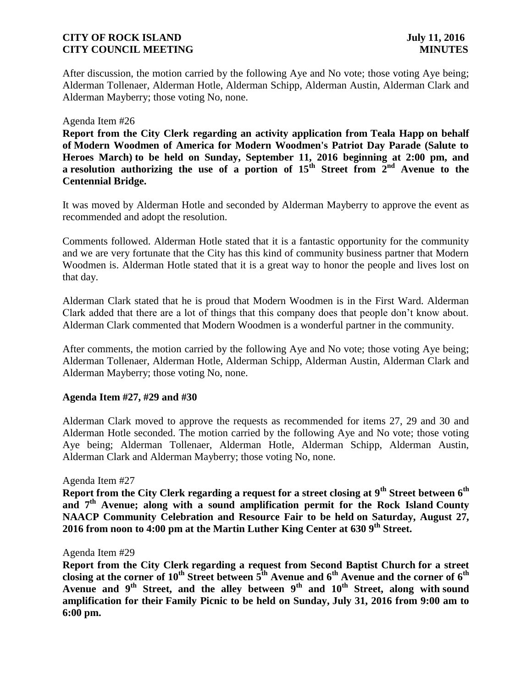After discussion, the motion carried by the following Aye and No vote; those voting Aye being; Alderman Tollenaer, Alderman Hotle, Alderman Schipp, Alderman Austin, Alderman Clark and Alderman Mayberry; those voting No, none.

#### Agenda Item #26

**Report from the City Clerk regarding an activity application from Teala Happ on behalf of Modern Woodmen of America for Modern Woodmen's Patriot Day Parade (Salute to Heroes March) to be held on Sunday, September 11, 2016 beginning at 2:00 pm, and a resolution** authorizing the use of a portion of  $15<sup>th</sup>$  Street from  $2<sup>nd</sup>$  Avenue to the **Centennial Bridge.**

It was moved by Alderman Hotle and seconded by Alderman Mayberry to approve the event as recommended and adopt the resolution.

Comments followed. Alderman Hotle stated that it is a fantastic opportunity for the community and we are very fortunate that the City has this kind of community business partner that Modern Woodmen is. Alderman Hotle stated that it is a great way to honor the people and lives lost on that day.

Alderman Clark stated that he is proud that Modern Woodmen is in the First Ward. Alderman Clark added that there are a lot of things that this company does that people don't know about. Alderman Clark commented that Modern Woodmen is a wonderful partner in the community.

After comments, the motion carried by the following Aye and No vote; those voting Aye being; Alderman Tollenaer, Alderman Hotle, Alderman Schipp, Alderman Austin, Alderman Clark and Alderman Mayberry; those voting No, none.

### **Agenda Item #27, #29 and #30**

Alderman Clark moved to approve the requests as recommended for items 27, 29 and 30 and Alderman Hotle seconded. The motion carried by the following Aye and No vote; those voting Aye being; Alderman Tollenaer, Alderman Hotle, Alderman Schipp, Alderman Austin, Alderman Clark and Alderman Mayberry; those voting No, none.

#### Agenda Item #27

**Report from the City Clerk regarding a request for a street closing at 9th Street between 6th and 7th Avenue; along with a sound amplification permit for the Rock Island County NAACP Community Celebration and Resource Fair to be held on Saturday, August 27, 2016 from noon to 4:00 pm at the Martin Luther King Center at 630 9th Street.**

#### Agenda Item #29

**Report from the City Clerk regarding a request from Second Baptist Church for a street closing at the corner of 10th Street between 5th Avenue and 6th Avenue and the corner of 6th Avenue and 9th Street, and the alley between 9th and 10th Street, along with sound amplification for their Family Picnic to be held on Sunday, July 31, 2016 from 9:00 am to 6:00 pm.**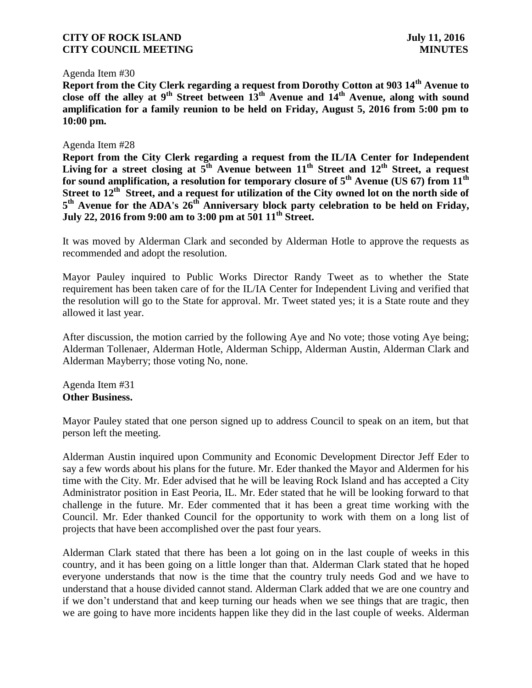#### Agenda Item #30

**Report from the City Clerk regarding a request from Dorothy Cotton at 903 14th Avenue to close off the alley at 9th Street between 13th Avenue and 14th Avenue, along with sound amplification for a family reunion to be held on Friday, August 5, 2016 from 5:00 pm to 10:00 pm.**

### Agenda Item #28

**Report from the City Clerk regarding a request from the IL/IA Center for Independent Living for a street closing at 5th Avenue between 11th Street and 12th Street, a request for sound amplification, a resolution for temporary closure of 5 th Avenue (US 67) from 11th Street to 12th Street, and a request for utilization of the City owned lot on the north side of 5 th Avenue for the ADA's 26th Anniversary block party celebration to be held on Friday, July 22, 2016 from 9:00 am to 3:00 pm at 501 11th Street.**

It was moved by Alderman Clark and seconded by Alderman Hotle to approve the requests as recommended and adopt the resolution.

Mayor Pauley inquired to Public Works Director Randy Tweet as to whether the State requirement has been taken care of for the IL/IA Center for Independent Living and verified that the resolution will go to the State for approval. Mr. Tweet stated yes; it is a State route and they allowed it last year.

After discussion, the motion carried by the following Aye and No vote; those voting Aye being; Alderman Tollenaer, Alderman Hotle, Alderman Schipp, Alderman Austin, Alderman Clark and Alderman Mayberry; those voting No, none.

Agenda Item #31 **Other Business.**

Mayor Pauley stated that one person signed up to address Council to speak on an item, but that person left the meeting.

Alderman Austin inquired upon Community and Economic Development Director Jeff Eder to say a few words about his plans for the future. Mr. Eder thanked the Mayor and Aldermen for his time with the City. Mr. Eder advised that he will be leaving Rock Island and has accepted a City Administrator position in East Peoria, IL. Mr. Eder stated that he will be looking forward to that challenge in the future. Mr. Eder commented that it has been a great time working with the Council. Mr. Eder thanked Council for the opportunity to work with them on a long list of projects that have been accomplished over the past four years.

Alderman Clark stated that there has been a lot going on in the last couple of weeks in this country, and it has been going on a little longer than that. Alderman Clark stated that he hoped everyone understands that now is the time that the country truly needs God and we have to understand that a house divided cannot stand. Alderman Clark added that we are one country and if we don't understand that and keep turning our heads when we see things that are tragic, then we are going to have more incidents happen like they did in the last couple of weeks. Alderman